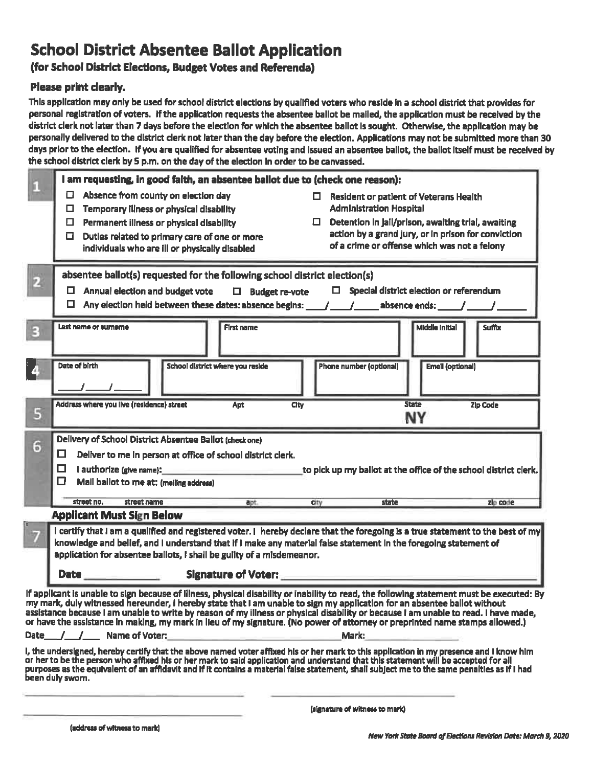# School District Absentee Ballot Application

# (for School District Elections, Budget Votes and Referenda)

# Please print dearly.

This application may only be used for school district elections by qualified voters who reside in a school district that provides for personal registration of voters. If the application requests the absentee ballot be mailed, the application must be received by the district clerk not later than 7 days before the election for which the absentee ballot Is sought. Otherwise, the application may be personally delivered to the district clerk not later than the day before the election. Applications may not be submitted more than 30 days prior to the election. If you are qualified for absentee voting and issued an absentee ballot, the ballot Itself must be received by the school district clerk by 5 p.m. on the day of the election In order to be canvassed.

|   | I am requesting, in good faith, an absentee ballot due to (check one reason):                                                                                                                                                                                                                                                                                                                                                                      |
|---|----------------------------------------------------------------------------------------------------------------------------------------------------------------------------------------------------------------------------------------------------------------------------------------------------------------------------------------------------------------------------------------------------------------------------------------------------|
|   | ◘<br>Absence from county on election day<br>Resident or patient of Veterans Health                                                                                                                                                                                                                                                                                                                                                                 |
|   | <b>Administration Hospital</b><br>Temporary illness or physical disability<br>◻                                                                                                                                                                                                                                                                                                                                                                    |
|   | Detention in Jail/prison, awaiting trial, awaiting<br>Permanent illness or physical disability<br>◻<br>action by a grand jury, or in prison for conviction                                                                                                                                                                                                                                                                                         |
|   | Duties related to primary care of one or more<br>0<br>of a crime or offense which was not a felony<br>individuals who are ill or physically disabled                                                                                                                                                                                                                                                                                               |
|   |                                                                                                                                                                                                                                                                                                                                                                                                                                                    |
|   | absentee ballot(s) requested for the following school district election(s)                                                                                                                                                                                                                                                                                                                                                                         |
| 2 | $\Box$ Special district election or referendum<br>$\Box$ Annual election and budget vote<br>$\Box$ Budget re-vote                                                                                                                                                                                                                                                                                                                                  |
|   | О.                                                                                                                                                                                                                                                                                                                                                                                                                                                 |
|   |                                                                                                                                                                                                                                                                                                                                                                                                                                                    |
| в | <b>Middle Initial</b><br><b>First name</b><br>Last name or surname<br><b>Suffix</b>                                                                                                                                                                                                                                                                                                                                                                |
|   |                                                                                                                                                                                                                                                                                                                                                                                                                                                    |
|   | Date of birth<br>School district where you reside<br><b>Phone number (optional)</b><br><b>Email (optional)</b>                                                                                                                                                                                                                                                                                                                                     |
|   |                                                                                                                                                                                                                                                                                                                                                                                                                                                    |
|   |                                                                                                                                                                                                                                                                                                                                                                                                                                                    |
| 5 | Address where you live (residence) street<br><b>State</b><br>Apt<br>City<br>Zip Code<br><b>NY</b>                                                                                                                                                                                                                                                                                                                                                  |
|   |                                                                                                                                                                                                                                                                                                                                                                                                                                                    |
| 6 | Delivery of School District Absentee Ballot (check one)                                                                                                                                                                                                                                                                                                                                                                                            |
|   | о<br>Deliver to me In person at office of school district clerk.                                                                                                                                                                                                                                                                                                                                                                                   |
|   | □<br>I authorize (give name): and the contract of the contract of the contract of the contract of the contract of the contract of the contract of the contract of the contract of the contract of the contract of the contract of t<br>to pick up my ballot at the office of the school district clerk.                                                                                                                                            |
|   | □<br>Mail bailot to me at: (mailing address)                                                                                                                                                                                                                                                                                                                                                                                                       |
|   | street no.<br>apt.<br>street name<br><b>state</b><br>zip code<br>city                                                                                                                                                                                                                                                                                                                                                                              |
|   | <b>Applicant Must Sign Below</b>                                                                                                                                                                                                                                                                                                                                                                                                                   |
|   | I certify that I am a qualified and registered voter. I hereby declare that the foregoing is a true statement to the best of my                                                                                                                                                                                                                                                                                                                    |
|   | knowledge and belief, and I understand that if I make any material false statement in the foregoing statement of                                                                                                                                                                                                                                                                                                                                   |
|   | application for absentee ballots, I shall be guilty of a misdemeanor.                                                                                                                                                                                                                                                                                                                                                                              |
|   | <b>Signature of Voter:</b><br><b>Date</b>                                                                                                                                                                                                                                                                                                                                                                                                          |
|   | If applicant is unable to sign because of lilness, physical disability or inability to read, the following statement must be executed: By                                                                                                                                                                                                                                                                                                          |
|   | my mark, duly witnessed hereunder, I hereby state that I am unable to sign my application for an absentee ballot without<br>assistance because I am unable to write by reason of my illness or physical disability or because I am unable to read. I have made,                                                                                                                                                                                    |
|   | or have the assistance in making, my mark in lieu of my signature. (No power of attorney or preprinted name stamps allowed.)                                                                                                                                                                                                                                                                                                                       |
|   | Mark:<br>Date / / Name of Voter:                                                                                                                                                                                                                                                                                                                                                                                                                   |
|   | I, the undersigned, hereby certify that the above named voter affixed his or her mark to this application in my presence and I know him<br>or her to be the person who affixed his or her mark to said application and understand that this statement will be accepted for all<br>purposes as the equivalent of an affidavit and if it contains a material false statement, shall subject me to the same penalties as if I had<br>been duly sworn. |
|   |                                                                                                                                                                                                                                                                                                                                                                                                                                                    |

(signature of witness to mark)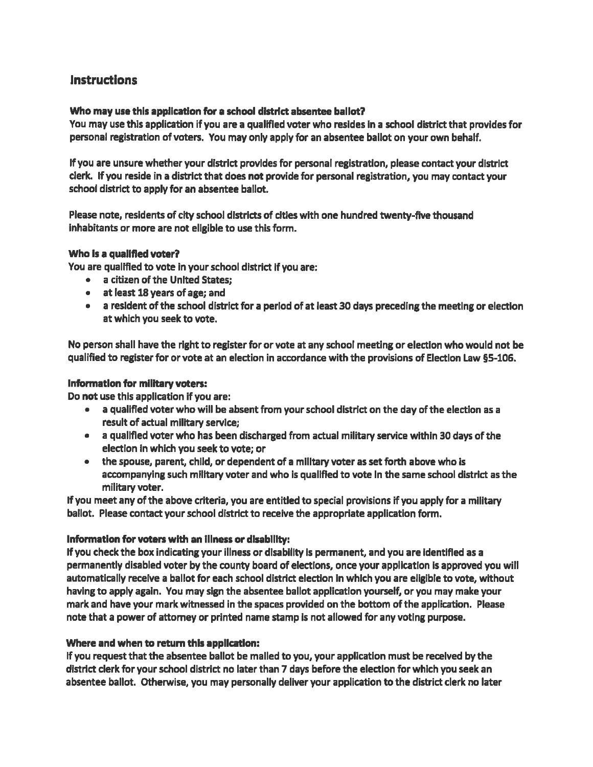# **Instructions**

## Who may use this application for a school district absentee ballot?

You may use this application if you are a qualified voter who resides In a school district that provides for personal registration of voters. You may only apply for an absentee ballot on your own behalf.

If you are unsure whether your district provides for personal registration, please contact your district clerk. If you reside in a district that does not provide for personal registration, you may contact your school district to apply for an absentee ballot.

Please note, residents of city school districts of cities with one hundred twenty-five thousand Inhabitants or more are not eligible to use this form.

#### Who Is a qualified voter?

You are qualified to vote in your school district if you are:

- . a citizen of the United States;
- . at least 18 years of age;and
- . a resident of the school district for a period of at least 30 days preceding the meeting or election at which you seek to vote.

No person shall have the right to register for or vote at any school meeting or election who would not be qualified to register for or vote at an election in accordance with the provisions of Election Law S5-106.

#### Information for military voters:

Do not use this application if you are:

- \* a qualified voter who will be absent from your school district on the day of the election as a result of actual military service;
- . a qualified voter who has been discharged from actual military service within 30 days of the election in which you seek to vote; or
- . the spouse, parent, child, or dependent of a military voter as set forth above who is accompanying such military voter and who is qualified to vote In the same school district as the military voter.

If you meet any of the above criteria, you are entitled to special provisions if you apply for a military ballot. Please contact your school district to receive the appropriate application form.

## Information for voters with an Illness or disability:

If you check the box indicating your illness or disability Is permanent, and you are Identified as a permanently disabled voter by the county board of elections, once your application Is approved you will automatically receive a ballot for each school district election In which you are eligible to vote, without having to apply again. You may sign the absentee ballot application yourself, or you may make your mark and have your mark witnessed in the spaces provided on the bottom of the application. Please note that a power of attorney or printed name stamp Is not allowed for any voting purpose.

## Where and when to return this application:

If you request that the absentee ballot be mailed to you, your application must be received by the district clerk for your school district no later than 7 days before the election for which you seek an absentee ballot. Otherwise, you may personally deliver your application to the district clerk no later